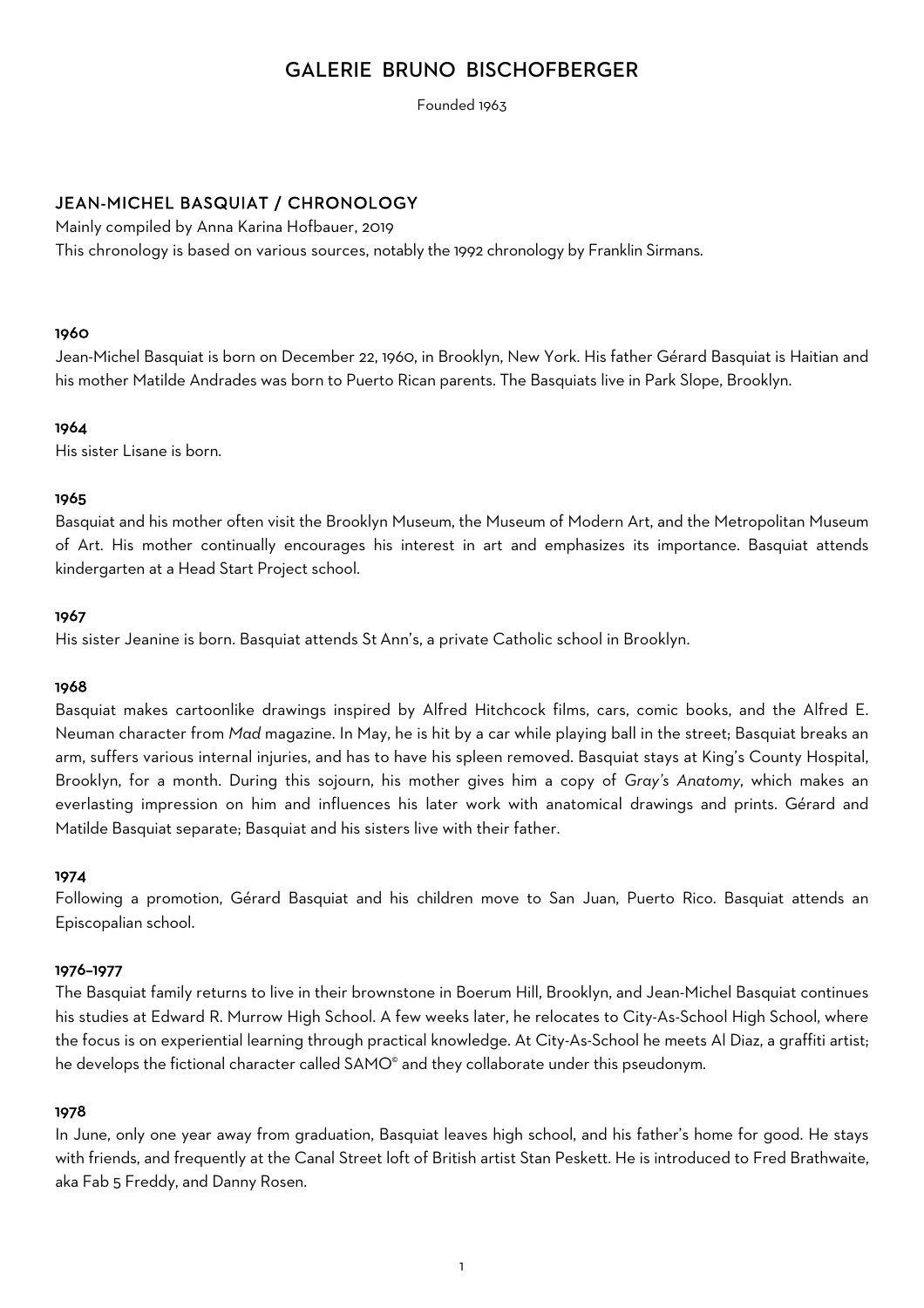# GALERIE BRUNO BISCHOFBERGER

Founded 1963

## JEAN-MICHEL BASQUIAT / CHRONOLOGY

Mainly compiled by Anna Karina Hofbauer, 2019

This chronology is based on various sources, notably the 1992 chronology by Franklin Sirmans.

## 1960

Jean-Michel Basquiat is born on December 22, 1960, in Brooklyn, New York. His father Gérard Basquiat is Haitian and his mother Matilde Andrades was born to Puerto Rican parents. The Basquiats live in Park Slope, Brooklyn.

## 1964

His sister Lisane is born.

## 1965

Basquiat and his mother often visit the Brooklyn Museum, the Museum of Modern Art, and the Metropolitan Museum of Art. His mother continually encourages his interest in art and emphasizes its importance. Basquiat attends kindergarten at a Head Start Project school.

## 1967

His sister Jeanine is born. Basquiat attends St Ann's, a private Catholic school in Brooklyn.

## 1968

Basquiat makes cartoonlike drawings inspired by Alfred Hitchcock films, cars, comic books, and the Alfred E. Neuman character from *Mad* magazine. In May, he is hit by a car while playing ball in the street; Basquiat breaks an arm, suffers various internal injuries, and has to have his spleen removed. Basquiat stays at King's County Hospital, Brooklyn, for a month. During this sojourn, his mother gives him a copy of *Gray's Anatomy*, which makes an everlasting impression on him and influences his later work with anatomical drawings and prints. Gérard and Matilde Basquiat separate; Basquiat and his sisters live with their father.

## 1974

Following a promotion, Gérard Basquiat and his children move to San Juan, Puerto Rico. Basquiat attends an Episcopalian school.

## 1976–1977

The Basquiat family returns to live in their brownstone in Boerum Hill, Brooklyn, and Jean-Michel Basquiat continues his studies at Edward R. Murrow High School. A few weeks later, he relocates to City-As-School High School, where the focus is on experiential learning through practical knowledge. At City-As-School he meets Al Diaz, a graffiti artist; he develops the fictional character called SAMO<sup>®</sup> and they collaborate under this pseudonym.

## 1978

In June, only one year away from graduation, Basquiat leaves high school, and his father's home for good. He stays with friends, and frequently at the Canal Street loft of British artist Stan Peskett. He is introduced to Fred Brathwaite, aka Fab 5 Freddy, and Danny Rosen.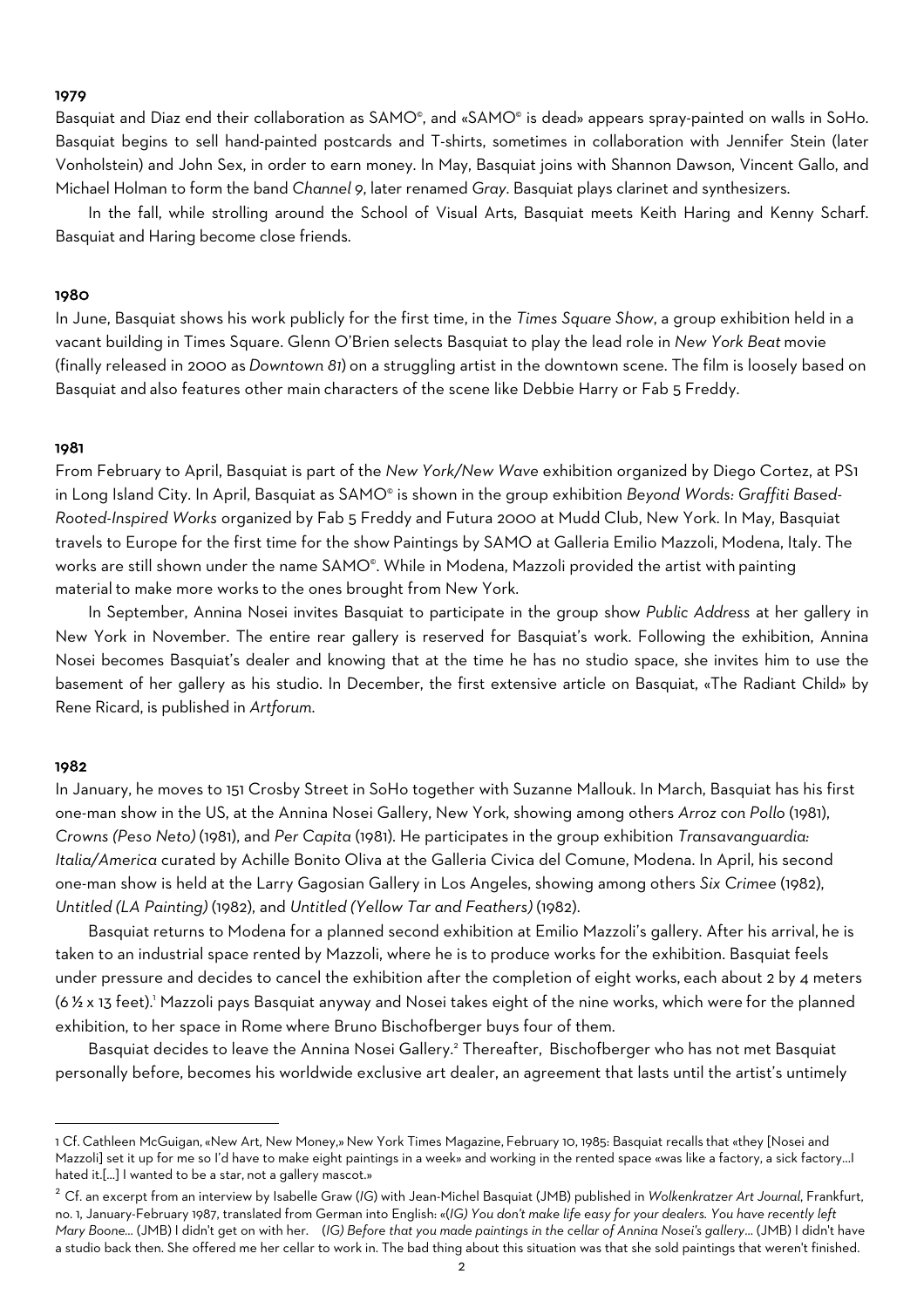#### 1979

Basquiat and Diaz end their collaboration as SAMO®, and «SAMO® is dead» appears spray-painted on walls in SoHo. Basquiat begins to sell hand-painted postcards and T-shirts, sometimes in collaboration with Jennifer Stein (later Vonholstein) and John Sex, in order to earn money. In May, Basquiat joins with Shannon Dawson, Vincent Gallo, and Michael Holman to form the band *Channel 9*, later renamed *Gray*. Basquiat plays clarinet and synthesizers.

In the fall, while strolling around the School of Visual Arts, Basquiat meets Keith Haring and Kenny Scharf. Basquiat and Haring become close friends.

#### 1980

In June, Basquiat shows his work publicly for the first time, in the *Times Square Show*, a group exhibition held in a vacant building in Times Square. Glenn O'Brien selects Basquiat to play the lead role in *New York Beat* movie (finally released in 2000 as *Downtown 81*) on a struggling artist in the downtown scene. The film is loosely based on Basquiat and also features other main characters of the scene like Debbie Harry or Fab 5 Freddy.

#### 1981

From February to April, Basquiat is part of the *New York/New Wave* exhibition organized by Diego Cortez, at PS1 in Long Island City. In April, Basquiat as SAMO<sup>®</sup> is shown in the group exhibition Beyond Words: Graffiti Based-*Rooted-Inspired Works* organized by Fab 5 Freddy and Futura 2000 at Mudd Club, New York. In May, Basquiat travels to Europe for the first time for the show Paintings by SAMO at Galleria Emilio Mazzoli, Modena, Italy. The works are still shown under the name SAMO®. While in Modena, Mazzoli provided the artist with painting material to make more works to the ones brought from New York.

In September, Annina Nosei invites Basquiat to participate in the group show *Public Address* at her gallery in New York in November. The entire rear gallery is reserved for Basquiat's work. Following the exhibition, Annina Nosei becomes Basquiat's dealer and knowing that at the time he has no studio space, she invites him to use the basement of her gallery as his studio. In December, the first extensive article on Basquiat, «The Radiant Child» by Rene Ricard, is published in *Artforum*.

#### 1982

In January, he moves to 151 Crosby Street in SoHo together with Suzanne Mallouk. In March, Basquiat has his first one-man show in the US, at the Annina Nosei Gallery, New York, showing among others *Arroz con Pollo* (1981), *Crowns (Peso Neto)* (1981), and *Per Capita* (1981). He participates in the group exhibition *Transavanguardia: Italia/America* curated by Achille Bonito Oliva at the Galleria Civica del Comune, Modena. In April, his second one-man show is held at the Larry Gagosian Gallery in Los Angeles, showing among others *Six Crimee* (1982), *Untitled (LA Painting)* (1982), and *Untitled (Yellow Tar and Feathers)* (1982).

Basquiat returns to Modena for a planned second exhibition at Emilio Mazzoli's gallery. After his arrival, he is taken to an industrial space rented by Mazzoli, where he is to produce works for the exhibition. Basquiat feels under pressure and decides to cancel the exhibition after the completion of eight works, each about 2 by 4 meters (6 ½ x 13 feet).1 Mazzoli pays Basquiat anyway and Nosei takes eight of the nine works, which were for the planned exhibition, to her space in Rome where Bruno Bischofberger buys four of them.

Basquiat decides to leave the Annina Nosei Gallery.2 Thereafter, Bischofberger who has not met Basquiat personally before, becomes his worldwide exclusive art dealer, an agreement that lasts until the artist's untimely

<sup>1</sup> Cf. Cathleen McGuigan,«New Art, New Money,» New York Times Magazine, February 10, 1985: Basquiat recalls that «they [Nosei and Mazzoli] set it up for me so I'd have to make eight paintings in a week» and working in the rented space «was like a factory, a sick factory…I hated it.[...] I wanted to be a star, not a gallery mascot.»

<sup>2</sup> Cf. an excerpt from an interview by Isabelle Graw (*IG*) with Jean-Michel Basquiat (JMB) published in *Wolkenkratzer Art Journal*, Frankfurt, no. 1, January-February 1987, translated from German into English: «(*IG) You don't make life easy for your dealers. You have recently left Mary Boone...* (JMB) I didn't get on with her. (*IG) Before that you made paintings in the cellar of Annina Nosei's gallery*... (JMB) I didn't have a studio back then. She offered me her cellar to work in. The bad thing about this situation was that she sold paintings that weren't finished.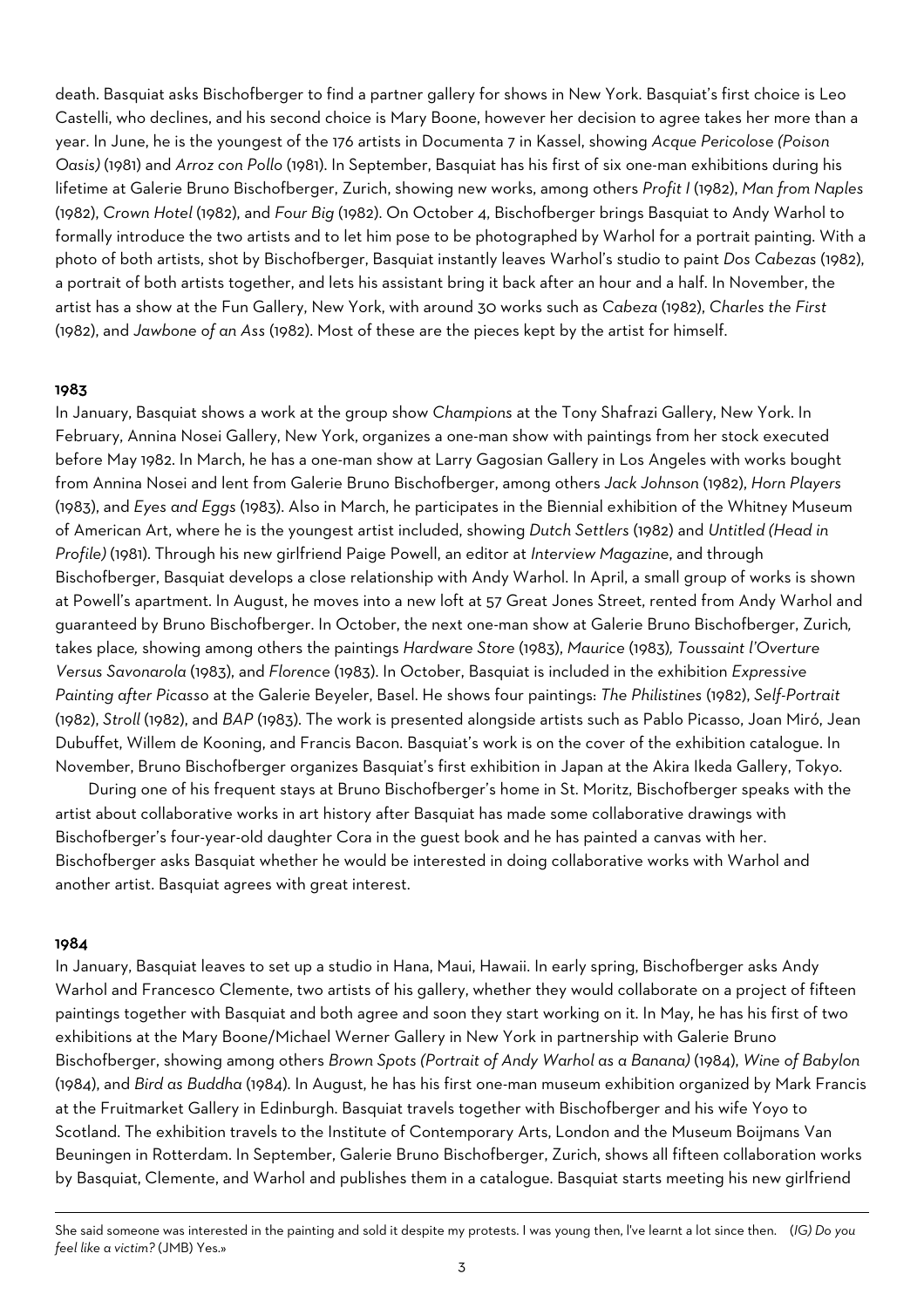death. Basquiat asks Bischofberger to find a partner gallery for shows in New York. Basquiat's first choice is Leo Castelli, who declines, and his second choice is Mary Boone, however her decision to agree takes her more than a year. In June, he is the youngest of the 176 artists in Documenta 7 in Kassel, showing *Acque Pericolose (Poison Oasis)* (1981) and *Arroz con Pollo* (1981). In September, Basquiat has his first of six one-man exhibitions during his lifetime at Galerie Bruno Bischofberger, Zurich, showing new works, among others *Profit I* (1982), *Man from Naples* (1982), *Crown Hotel* (1982), and *Four Big* (1982). On October 4, Bischofberger brings Basquiat to Andy Warhol to formally introduce the two artists and to let him pose to be photographed by Warhol for a portrait painting. With a photo of both artists, shot by Bischofberger, Basquiat instantly leaves Warhol's studio to paint *Dos Cabezas* (1982), a portrait of both artists together, and lets his assistant bring it back after an hour and a half. In November, the artist has a show at the Fun Gallery, New York, with around 30 works such as *Cabeza* (1982), *Charles the First* (1982), and *Jawbone of an Ass* (1982). Most of these are the pieces kept by the artist for himself.

## 1983

In January, Basquiat shows a work at the group show *Champions* at the Tony Shafrazi Gallery, New York. In February, Annina Nosei Gallery, New York, organizes a one-man show with paintings from her stock executed before May 1982. In March, he has a one-man show at Larry Gagosian Gallery in Los Angeles with works bought from Annina Nosei and lent from Galerie Bruno Bischofberger, among others *Jack Johnson* (1982), *Horn Players* (1983), and *Eyes and Eggs* (1983). Also in March, he participates in the Biennial exhibition of the Whitney Museum of American Art, where he is the youngest artist included, showing *Dutch Settlers* (1982) and *Untitled (Head in Profile)* (1981). Through his new girlfriend Paige Powell, an editor at *Interview Magazine*, and through Bischofberger, Basquiat develops a close relationship with Andy Warhol. In April, a small group of works is shown at Powell's apartment. In August, he moves into a new loft at 57 Great Jones Street, rented from Andy Warhol and guaranteed by Bruno Bischofberger. In October, the next one-man show at Galerie Bruno Bischofberger, Zurich*,*  takes place*,* showing among others the paintings *Hardware Store* (1983), *Maurice* (1983)*, Toussaint l'Overture Versus Savonarola* (1983), and *Florence* (1983). In October, Basquiat is included in the exhibition *Expressive Painting after Picasso* at the Galerie Beyeler, Basel. He shows four paintings: *The Philistines* (1982), *Self-Portrait* (1982), *Stroll* (1982), and *BAP* (1983). The work is presented alongside artists such as Pablo Picasso, Joan Miró, Jean Dubuffet, Willem de Kooning, and Francis Bacon. Basquiat's work is on the cover of the exhibition catalogue. In November, Bruno Bischofberger organizes Basquiat's first exhibition in Japan at the Akira Ikeda Gallery, Tokyo.

During one of his frequent stays at Bruno Bischofberger's home in St. Moritz, Bischofberger speaks with the artist about collaborative works in art history after Basquiat has made some collaborative drawings with Bischofberger's four-year-old daughter Cora in the guest book and he has painted a canvas with her. Bischofberger asks Basquiat whether he would be interested in doing collaborative works with Warhol and another artist. Basquiat agrees with great interest.

#### 1984

In January, Basquiat leaves to set up a studio in Hana, Maui, Hawaii. In early spring, Bischofberger asks Andy Warhol and Francesco Clemente, two artists of his gallery, whether they would collaborate on a project of fifteen paintings together with Basquiat and both agree and soon they start working on it. In May, he has his first of two exhibitions at the Mary Boone/Michael Werner Gallery in New York in partnership with Galerie Bruno Bischofberger, showing among others *Brown Spots (Portrait of Andy Warhol as a Banana)* (1984), *Wine of Babylon* (1984), and *Bird as Buddha* (1984). In August, he has his first one-man museum exhibition organized by Mark Francis at the Fruitmarket Gallery in Edinburgh. Basquiat travels together with Bischofberger and his wife Yoyo to Scotland. The exhibition travels to the Institute of Contemporary Arts, London and the Museum Boijmans Van Beuningen in Rotterdam. In September, Galerie Bruno Bischofberger, Zurich, shows all fifteen collaboration works by Basquiat, Clemente, and Warhol and publishes them in a catalogue. Basquiat starts meeting his new girlfriend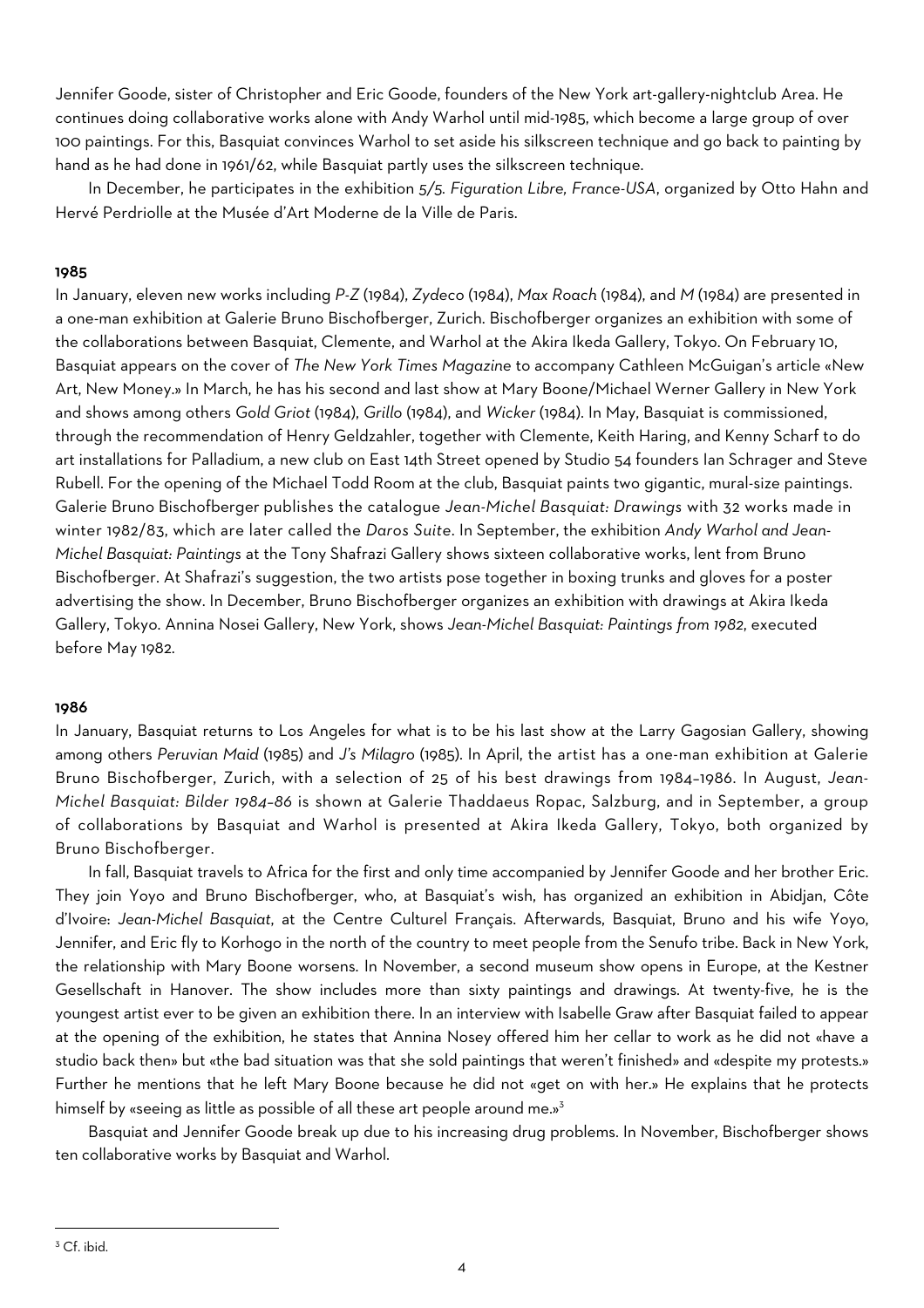Jennifer Goode, sister of Christopher and Eric Goode, founders of the New York art-gallery-nightclub Area. He continues doing collaborative works alone with Andy Warhol until mid-1985, which become a large group of over 100 paintings. For this, Basquiat convinces Warhol to set aside his silkscreen technique and go back to painting by hand as he had done in 1961/62, while Basquiat partly uses the silkscreen technique.

In December, he participates in the exhibition *5/5. Figuration Libre, France-USA*, organized by Otto Hahn and Hervé Perdriolle at the Musée d'Art Moderne de la Ville de Paris.

## 1985

In January, eleven new works including *P-Z* (1984), *Zydeco* (1984), *Max Roach* (1984), and *M* (1984) are presented in a one-man exhibition at Galerie Bruno Bischofberger, Zurich. Bischofberger organizes an exhibition with some of the collaborations between Basquiat, Clemente, and Warhol at the Akira Ikeda Gallery, Tokyo. On February 10, Basquiat appears on the cover of *The New York Times Magazine* to accompany Cathleen McGuigan's article «New Art, New Money.» In March, he has his second and last show at Mary Boone/Michael Werner Gallery in New York and shows among others *Gold Griot* (1984), *Grillo* (1984), and *Wicker* (1984). In May, Basquiat is commissioned, through the recommendation of Henry Geldzahler, together with Clemente, Keith Haring, and Kenny Scharf to do art installations for Palladium, a new club on East 14th Street opened by Studio 54 founders Ian Schrager and Steve Rubell. For the opening of the Michael Todd Room at the club, Basquiat paints two gigantic, mural-size paintings. Galerie Bruno Bischofberger publishes the catalogue *Jean-Michel Basquiat: Drawings* with 32 works made in winter 1982/83, which are later called the *Daros Suite*. In September, the exhibition *Andy Warhol and Jean-Michel Basquiat: Paintings* at the Tony Shafrazi Gallery shows sixteen collaborative works, lent from Bruno Bischofberger. At Shafrazi's suggestion, the two artists pose together in boxing trunks and gloves for a poster advertising the show. In December, Bruno Bischofberger organizes an exhibition with drawings at Akira Ikeda Gallery, Tokyo. Annina Nosei Gallery, New York, shows *Jean-Michel Basquiat: Paintings from 1982*, executed before May 1982.

## 1986

In January, Basquiat returns to Los Angeles for what is to be his last show at the Larry Gagosian Gallery, showing among others *Peruvian Maid* (1985) and *J's Milagro* (1985). In April, the artist has a one-man exhibition at Galerie Bruno Bischofberger, Zurich, with a selection of 25 of his best drawings from 1984–1986. In August, *Jean-Michel Basquiat: Bilder 1984–86* is shown at Galerie Thaddaeus Ropac, Salzburg, and in September, a group of collaborations by Basquiat and Warhol is presented at Akira Ikeda Gallery, Tokyo, both organized by Bruno Bischofberger.

In fall, Basquiat travels to Africa for the first and only time accompanied by Jennifer Goode and her brother Eric. They join Yoyo and Bruno Bischofberger, who, at Basquiat's wish, has organized an exhibition in Abidjan, Côte d'Ivoire: *Jean-Michel Basquiat*, at the Centre Culturel Français. Afterwards, Basquiat, Bruno and his wife Yoyo, Jennifer, and Eric fly to Korhogo in the north of the country to meet people from the Senufo tribe. Back in New York, the relationship with Mary Boone worsens. In November, a second museum show opens in Europe, at the Kestner Gesellschaft in Hanover. The show includes more than sixty paintings and drawings. At twenty-five, he is the youngest artist ever to be given an exhibition there. In an interview with Isabelle Graw after Basquiat failed to appear at the opening of the exhibition, he states that Annina Nosey offered him her cellar to work as he did not «have a studio back then» but «the bad situation was that she sold paintings that weren't finished» and «despite my protests.» Further he mentions that he left Mary Boone because he did not «get on with her.» He explains that he protects himself by «seeing as little as possible of all these art people around me.»<sup>3</sup>

Basquiat and Jennifer Goode break up due to his increasing drug problems. In November, Bischofberger shows ten collaborative works by Basquiat and Warhol.

<sup>&</sup>lt;sup>3</sup> Cf. ibid.